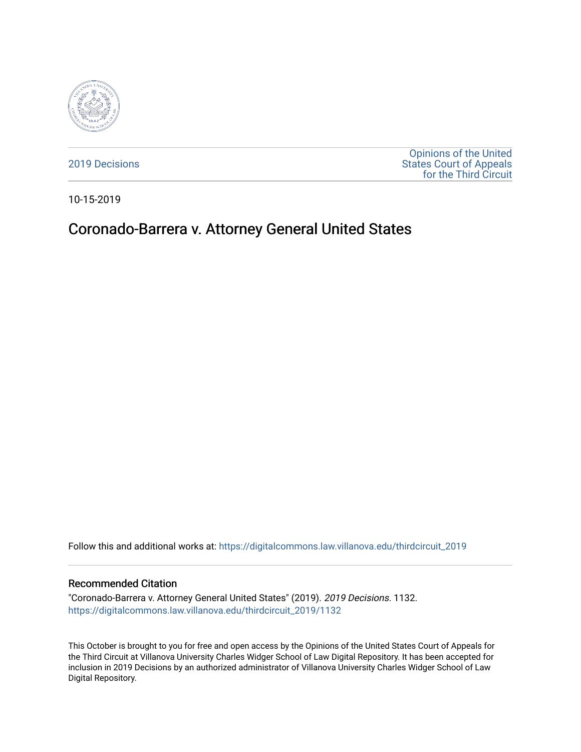

[2019 Decisions](https://digitalcommons.law.villanova.edu/thirdcircuit_2019)

[Opinions of the United](https://digitalcommons.law.villanova.edu/thirdcircuit)  [States Court of Appeals](https://digitalcommons.law.villanova.edu/thirdcircuit)  [for the Third Circuit](https://digitalcommons.law.villanova.edu/thirdcircuit) 

10-15-2019

# Coronado-Barrera v. Attorney General United States

Follow this and additional works at: [https://digitalcommons.law.villanova.edu/thirdcircuit\\_2019](https://digitalcommons.law.villanova.edu/thirdcircuit_2019?utm_source=digitalcommons.law.villanova.edu%2Fthirdcircuit_2019%2F1132&utm_medium=PDF&utm_campaign=PDFCoverPages) 

#### Recommended Citation

"Coronado-Barrera v. Attorney General United States" (2019). 2019 Decisions. 1132. [https://digitalcommons.law.villanova.edu/thirdcircuit\\_2019/1132](https://digitalcommons.law.villanova.edu/thirdcircuit_2019/1132?utm_source=digitalcommons.law.villanova.edu%2Fthirdcircuit_2019%2F1132&utm_medium=PDF&utm_campaign=PDFCoverPages) 

This October is brought to you for free and open access by the Opinions of the United States Court of Appeals for the Third Circuit at Villanova University Charles Widger School of Law Digital Repository. It has been accepted for inclusion in 2019 Decisions by an authorized administrator of Villanova University Charles Widger School of Law Digital Repository.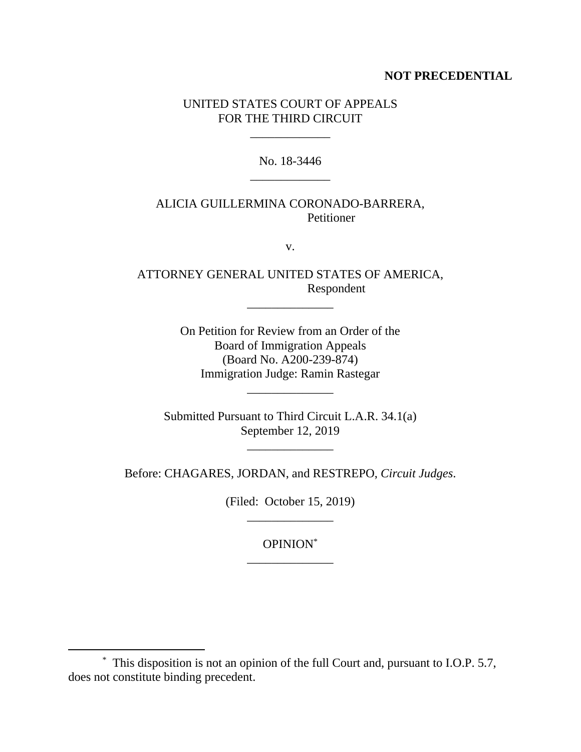## **NOT PRECEDENTIAL**

## UNITED STATES COURT OF APPEALS FOR THE THIRD CIRCUIT

\_\_\_\_\_\_\_\_\_\_\_\_\_

No. 18-3446 \_\_\_\_\_\_\_\_\_\_\_\_\_

# ALICIA GUILLERMINA CORONADO-BARRERA, Petitioner

v.

ATTORNEY GENERAL UNITED STATES OF AMERICA, Respondent

\_\_\_\_\_\_\_\_\_\_\_\_\_\_

On Petition for Review from an Order of the Board of Immigration Appeals (Board No. A200-239-874) Immigration Judge: Ramin Rastegar

\_\_\_\_\_\_\_\_\_\_\_\_\_\_

Submitted Pursuant to Third Circuit L.A.R. 34.1(a) September 12, 2019

Before: CHAGARES, JORDAN, and RESTREPO, *Circuit Judges*.

(Filed: October 15, 2019) \_\_\_\_\_\_\_\_\_\_\_\_\_\_

> OPINION\* \_\_\_\_\_\_\_\_\_\_\_\_\_\_

 $*$  This disposition is not an opinion of the full Court and, pursuant to I.O.P. 5.7, does not constitute binding precedent.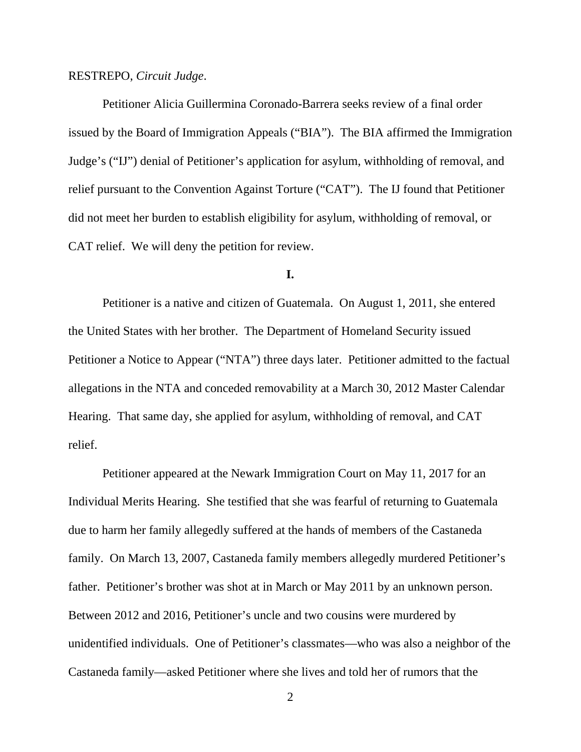#### RESTREPO, *Circuit Judge*.

Petitioner Alicia Guillermina Coronado-Barrera seeks review of a final order issued by the Board of Immigration Appeals ("BIA"). The BIA affirmed the Immigration Judge's ("IJ") denial of Petitioner's application for asylum, withholding of removal, and relief pursuant to the Convention Against Torture ("CAT"). The IJ found that Petitioner did not meet her burden to establish eligibility for asylum, withholding of removal, or CAT relief. We will deny the petition for review.

## **I.**

Petitioner is a native and citizen of Guatemala. On August 1, 2011, she entered the United States with her brother. The Department of Homeland Security issued Petitioner a Notice to Appear ("NTA") three days later. Petitioner admitted to the factual allegations in the NTA and conceded removability at a March 30, 2012 Master Calendar Hearing. That same day, she applied for asylum, withholding of removal, and CAT relief.

Petitioner appeared at the Newark Immigration Court on May 11, 2017 for an Individual Merits Hearing. She testified that she was fearful of returning to Guatemala due to harm her family allegedly suffered at the hands of members of the Castaneda family. On March 13, 2007, Castaneda family members allegedly murdered Petitioner's father. Petitioner's brother was shot at in March or May 2011 by an unknown person. Between 2012 and 2016, Petitioner's uncle and two cousins were murdered by unidentified individuals. One of Petitioner's classmates—who was also a neighbor of the Castaneda family—asked Petitioner where she lives and told her of rumors that the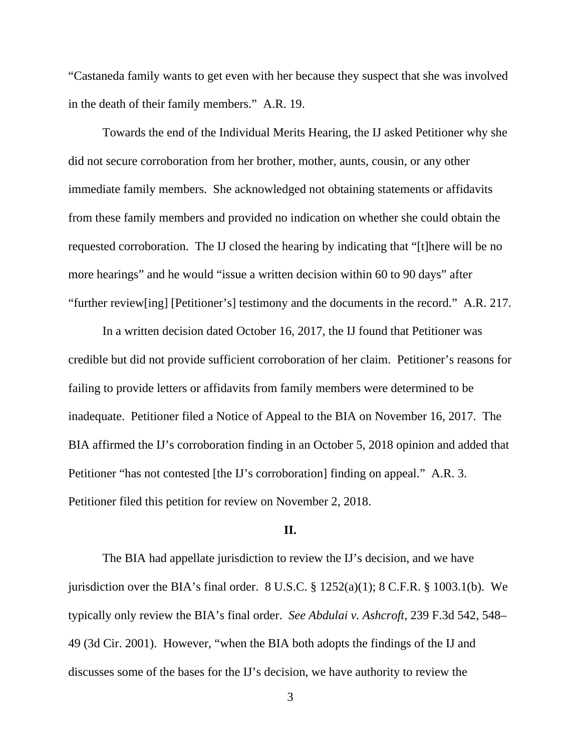"Castaneda family wants to get even with her because they suspect that she was involved in the death of their family members." A.R. 19.

Towards the end of the Individual Merits Hearing, the IJ asked Petitioner why she did not secure corroboration from her brother, mother, aunts, cousin, or any other immediate family members. She acknowledged not obtaining statements or affidavits from these family members and provided no indication on whether she could obtain the requested corroboration. The IJ closed the hearing by indicating that "[t]here will be no more hearings" and he would "issue a written decision within 60 to 90 days" after "further review[ing] [Petitioner's] testimony and the documents in the record." A.R. 217.

In a written decision dated October 16, 2017, the IJ found that Petitioner was credible but did not provide sufficient corroboration of her claim. Petitioner's reasons for failing to provide letters or affidavits from family members were determined to be inadequate. Petitioner filed a Notice of Appeal to the BIA on November 16, 2017. The BIA affirmed the IJ's corroboration finding in an October 5, 2018 opinion and added that Petitioner "has not contested [the IJ's corroboration] finding on appeal." A.R. 3. Petitioner filed this petition for review on November 2, 2018.

#### **II.**

The BIA had appellate jurisdiction to review the IJ's decision, and we have jurisdiction over the BIA's final order.  $8 \text{ U.S.C.}$   $\S 1252(a)(1)$ ;  $8 \text{ C.F.R.}$   $\S 1003.1(b)$ . We typically only review the BIA's final order. *See Abdulai v. Ashcroft*, 239 F.3d 542, 548– 49 (3d Cir. 2001). However, "when the BIA both adopts the findings of the IJ and discusses some of the bases for the IJ's decision, we have authority to review the

3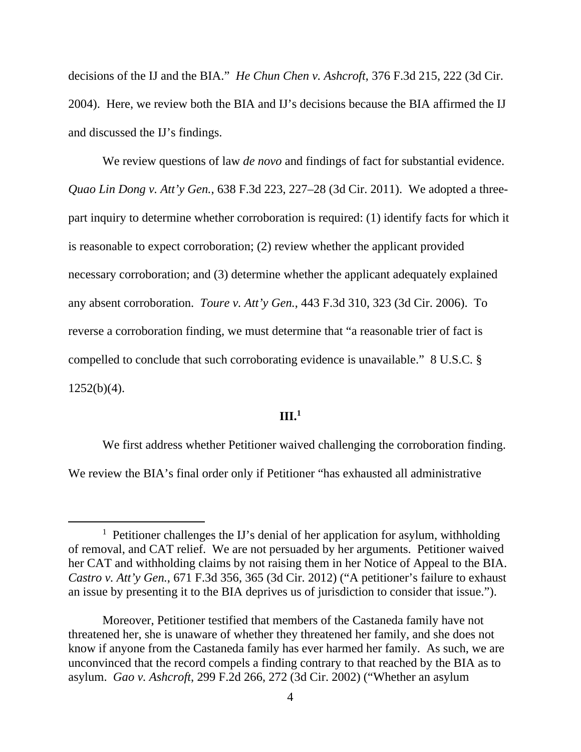decisions of the IJ and the BIA." *He Chun Chen v. Ashcroft*, 376 F.3d 215, 222 (3d Cir. 2004). Here, we review both the BIA and IJ's decisions because the BIA affirmed the IJ and discussed the IJ's findings.

We review questions of law *de novo* and findings of fact for substantial evidence. *Quao Lin Dong v. Att'y Gen.*, 638 F.3d 223, 227–28 (3d Cir. 2011). We adopted a threepart inquiry to determine whether corroboration is required: (1) identify facts for which it is reasonable to expect corroboration; (2) review whether the applicant provided necessary corroboration; and (3) determine whether the applicant adequately explained any absent corroboration. *Toure v. Att'y Gen.*, 443 F.3d 310, 323 (3d Cir. 2006). To reverse a corroboration finding, we must determine that "a reasonable trier of fact is compelled to conclude that such corroborating evidence is unavailable." 8 U.S.C. §  $1252(b)(4)$ .

### **III.<sup>1</sup>**

We first address whether Petitioner waived challenging the corroboration finding. We review the BIA's final order only if Petitioner "has exhausted all administrative

<sup>&</sup>lt;u>1</u> <sup>1</sup> Petitioner challenges the IJ's denial of her application for asylum, withholding of removal, and CAT relief. We are not persuaded by her arguments. Petitioner waived her CAT and withholding claims by not raising them in her Notice of Appeal to the BIA. *Castro v. Att'y Gen.*, 671 F.3d 356, 365 (3d Cir. 2012) ("A petitioner's failure to exhaust an issue by presenting it to the BIA deprives us of jurisdiction to consider that issue.").

Moreover, Petitioner testified that members of the Castaneda family have not threatened her, she is unaware of whether they threatened her family, and she does not know if anyone from the Castaneda family has ever harmed her family. As such, we are unconvinced that the record compels a finding contrary to that reached by the BIA as to asylum. *Gao v. Ashcroft*, 299 F.2d 266, 272 (3d Cir. 2002) ("Whether an asylum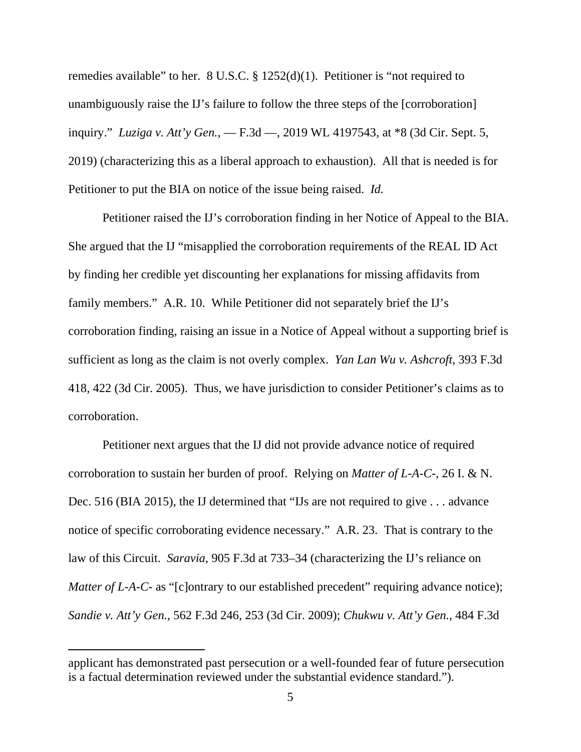remedies available" to her. 8 U.S.C. § 1252(d)(1). Petitioner is "not required to unambiguously raise the IJ's failure to follow the three steps of the [corroboration] inquiry." *Luziga v. Att'y Gen.*, — F.3d —, 2019 WL 4197543, at \*8 (3d Cir. Sept. 5, 2019) (characterizing this as a liberal approach to exhaustion). All that is needed is for Petitioner to put the BIA on notice of the issue being raised. *Id.* 

Petitioner raised the IJ's corroboration finding in her Notice of Appeal to the BIA. She argued that the IJ "misapplied the corroboration requirements of the REAL ID Act by finding her credible yet discounting her explanations for missing affidavits from family members." A.R. 10. While Petitioner did not separately brief the IJ's corroboration finding, raising an issue in a Notice of Appeal without a supporting brief is sufficient as long as the claim is not overly complex. *Yan Lan Wu v. Ashcroft*, 393 F.3d 418, 422 (3d Cir. 2005). Thus, we have jurisdiction to consider Petitioner's claims as to corroboration.

Petitioner next argues that the IJ did not provide advance notice of required corroboration to sustain her burden of proof. Relying on *Matter of L-A-C-*, 26 I. & N. Dec. 516 (BIA 2015), the IJ determined that "IJs are not required to give . . . advance notice of specific corroborating evidence necessary." A.R. 23. That is contrary to the law of this Circuit. *Saravia*, 905 F.3d at 733–34 (characterizing the IJ's reliance on *Matter of L-A-C-* as "[c]ontrary to our established precedent" requiring advance notice); *Sandie v. Att'y Gen.*, 562 F.3d 246, 253 (3d Cir. 2009); *Chukwu v. Att'y Gen.*, 484 F.3d

 $\overline{a}$ 

applicant has demonstrated past persecution or a well-founded fear of future persecution is a factual determination reviewed under the substantial evidence standard.").